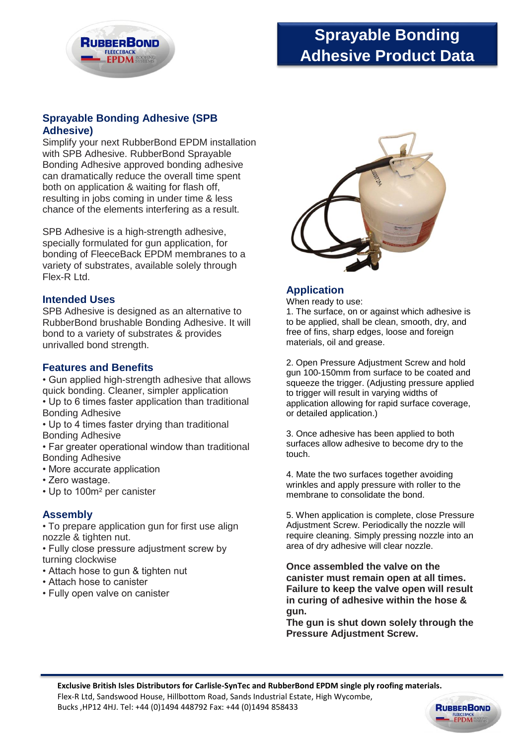

# **Sprayable Bonding Adhesive Product Data**

## **Sprayable Bonding Adhesive (SPB Adhesive)**

Simplify your next RubberBond EPDM installation with SPB Adhesive. RubberBond Sprayable Bonding Adhesive approved bonding adhesive can dramatically reduce the overall time spent both on application & waiting for flash off, resulting in jobs coming in under time & less chance of the elements interfering as a result.

SPB Adhesive is a high-strength adhesive, specially formulated for gun application, for bonding of FleeceBack EPDM membranes to a variety of substrates, available solely through Flex-R Ltd.

#### **Intended Uses**

SPB Adhesive is designed as an alternative to RubberBond brushable Bonding Adhesive. It will bond to a variety of substrates & provides unrivalled bond strength.

### **Features and Benefits**

• Gun applied high-strength adhesive that allows quick bonding. Cleaner, simpler application • Up to 6 times faster application than traditional Bonding Adhesive

• Up to 4 times faster drying than traditional Bonding Adhesive

• Far greater operational window than traditional Bonding Adhesive

- More accurate application
- Zero wastage.
- Up to 100m² per canister

#### **Assembly**

• To prepare application gun for first use align nozzle & tighten nut.

• Fully close pressure adjustment screw by turning clockwise

- Attach hose to gun & tighten nut
- Attach hose to canister
- Fully open valve on canister



#### **Application**

When ready to use:

1. The surface, on or against which adhesive is to be applied, shall be clean, smooth, dry, and free of fins, sharp edges, loose and foreign materials, oil and grease.

2. Open Pressure Adjustment Screw and hold gun 100-150mm from surface to be coated and squeeze the trigger. (Adjusting pressure applied to trigger will result in varying widths of application allowing for rapid surface coverage, or detailed application.)

3. Once adhesive has been applied to both surfaces allow adhesive to become dry to the touch.

4. Mate the two surfaces together avoiding wrinkles and apply pressure with roller to the membrane to consolidate the bond.

5. When application is complete, close Pressure Adjustment Screw. Periodically the nozzle will require cleaning. Simply pressing nozzle into an area of dry adhesive will clear nozzle.

**Once assembled the valve on the canister must remain open at all times. Failure to keep the valve open will result in curing of adhesive within the hose & gun.**

**The gun is shut down solely through the Pressure Adjustment Screw.**